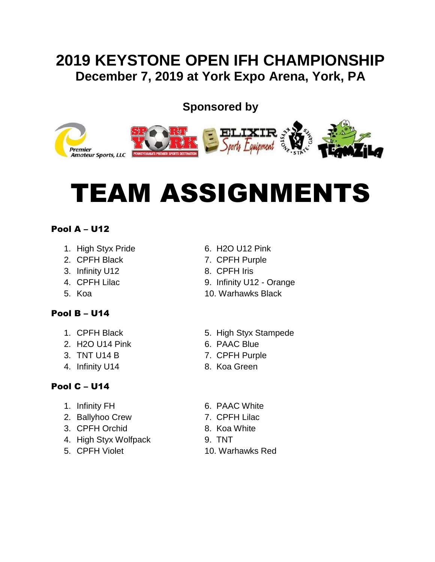## **2019 KEYSTONE OPEN IFH CHAMPIONSHIP December 7, 2019 at York Expo Arena, York, PA**

### **Sponsored by**



# TEAM ASSIGNMENTS

#### Pool A – U12

- 1. High Styx Pride 6. H2O U12 Pink
- 
- 3. Infinity U12 8. CPFH Iris
- 
- 

#### Pool B – U14

- 
- 2. H2O U14 Pink 6. PAAC Blue
- 
- 4. Infinity U14 8. Koa Green

#### Pool C – U14

- 
- 2. Ballyhoo Crew 7. CPFH Lilac
- 3. CPFH Orchid 8. Koa White
- 4. High Styx Wolfpack 9. TNT
- 
- 
- 2. CPFH Black 7. CPFH Purple
	-
- 4. CPFH Lilac 9. Infinity U12 Orange
- 5. Koa 10. Warhawks Black
- 1. CPFH Black 5. High Styx Stampede
	-
- 3. TNT U14 B 7. CPFH Purple
	-
- 1. Infinity FH 6. PAAC White
	-
	-
	-
- 5. CPFH Violet 10. Warhawks Red